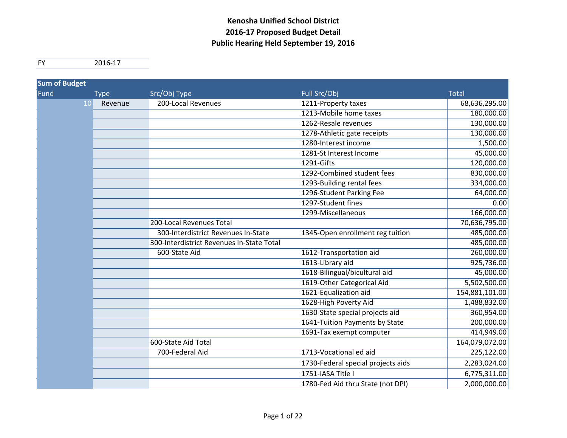FY 2016‐17

| <b>Sum of Budget</b> |               |                                           |                                    |                |
|----------------------|---------------|-------------------------------------------|------------------------------------|----------------|
| Fund                 | <b>Type</b>   | Src/Obj Type                              | Full Src/Obj                       | <b>Total</b>   |
|                      | 10<br>Revenue | 200-Local Revenues                        | 1211-Property taxes                | 68,636,295.00  |
|                      |               |                                           | 1213-Mobile home taxes             | 180,000.00     |
|                      |               |                                           | 1262-Resale revenues               | 130,000.00     |
|                      |               |                                           | 1278-Athletic gate receipts        | 130,000.00     |
|                      |               |                                           | 1280-Interest income               | 1,500.00       |
|                      |               |                                           | 1281-St Interest Income            | 45,000.00      |
|                      |               |                                           | 1291-Gifts                         | 120,000.00     |
|                      |               |                                           | 1292-Combined student fees         | 830,000.00     |
|                      |               |                                           | 1293-Building rental fees          | 334,000.00     |
|                      |               |                                           | 1296-Student Parking Fee           | 64,000.00      |
|                      |               |                                           | 1297-Student fines                 | 0.00           |
|                      |               |                                           | 1299-Miscellaneous                 | 166,000.00     |
|                      |               | 200-Local Revenues Total                  |                                    | 70,636,795.00  |
|                      |               | 300-Interdistrict Revenues In-State       | 1345-Open enrollment reg tuition   | 485,000.00     |
|                      |               | 300-Interdistrict Revenues In-State Total |                                    | 485,000.00     |
|                      |               | 600-State Aid                             | 1612-Transportation aid            | 260,000.00     |
|                      |               |                                           | 1613-Library aid                   | 925,736.00     |
|                      |               |                                           | 1618-Bilingual/bicultural aid      | 45,000.00      |
|                      |               |                                           | 1619-Other Categorical Aid         | 5,502,500.00   |
|                      |               |                                           | 1621-Equalization aid              | 154,881,101.00 |
|                      |               |                                           | 1628-High Poverty Aid              | 1,488,832.00   |
|                      |               |                                           | 1630-State special projects aid    | 360,954.00     |
|                      |               |                                           | 1641-Tuition Payments by State     | 200,000.00     |
|                      |               |                                           | 1691-Tax exempt computer           | 414,949.00     |
|                      |               | 600-State Aid Total                       |                                    | 164,079,072.00 |
|                      |               | 700-Federal Aid                           | 1713-Vocational ed aid             | 225,122.00     |
|                      |               |                                           | 1730-Federal special projects aids | 2,283,024.00   |
|                      |               |                                           | 1751-IASA Title I                  | 6,775,311.00   |
|                      |               |                                           | 1780-Fed Aid thru State (not DPI)  | 2,000,000.00   |
|                      |               |                                           |                                    |                |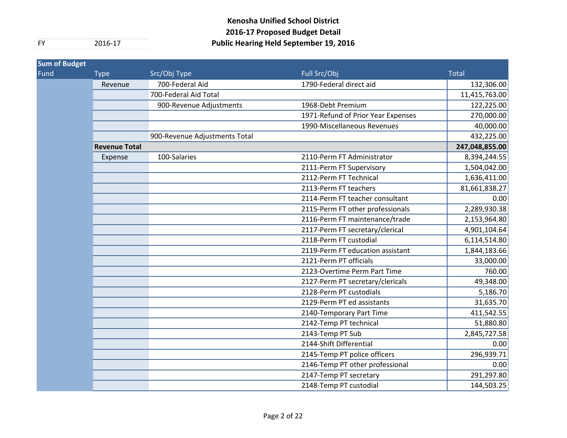| <b>Sum of Budget</b> |                      |                               |                                    |                |
|----------------------|----------------------|-------------------------------|------------------------------------|----------------|
| Fund                 | <b>Type</b>          | Src/Obj Type                  | Full Src/Obj                       | <b>Total</b>   |
|                      | Revenue              | 700-Federal Aid               | 1790-Federal direct aid            | 132,306.00     |
|                      |                      | 700-Federal Aid Total         |                                    | 11,415,763.00  |
|                      |                      | 900-Revenue Adjustments       | 1968-Debt Premium                  | 122,225.00     |
|                      |                      |                               | 1971-Refund of Prior Year Expenses | 270,000.00     |
|                      |                      |                               | 1990-Miscellaneous Revenues        | 40,000.00      |
|                      |                      | 900-Revenue Adjustments Total |                                    | 432,225.00     |
|                      | <b>Revenue Total</b> |                               |                                    | 247,048,855.00 |
|                      | Expense              | 100-Salaries                  | 2110-Perm FT Administrator         | 8,394,244.55   |
|                      |                      |                               | 2111-Perm FT Supervisory           | 1,504,042.00   |
|                      |                      |                               | 2112-Perm FT Technical             | 1,636,411.00   |
|                      |                      |                               | 2113-Perm FT teachers              | 81,661,838.27  |
|                      |                      |                               | 2114-Perm FT teacher consultant    | 0.00           |
|                      |                      |                               | 2115-Perm FT other professionals   | 2,289,930.38   |
|                      |                      |                               | 2116-Perm FT maintenance/trade     | 2,153,964.80   |
|                      |                      |                               | 2117-Perm FT secretary/clerical    | 4,901,104.64   |
|                      |                      |                               | 2118-Perm FT custodial             | 6,114,514.80   |
|                      |                      |                               | 2119-Perm FT education assistant   | 1,844,183.66   |
|                      |                      |                               | 2121-Perm PT officials             | 33,000.00      |
|                      |                      |                               | 2123-Overtime Perm Part Time       | 760.00         |
|                      |                      |                               | 2127-Perm PT secretary/clericals   | 49,348.00      |
|                      |                      |                               | 2128-Perm PT custodials            | 5,186.70       |
|                      |                      |                               | 2129-Perm PT ed assistants         | 31,635.70      |
|                      |                      |                               | 2140-Temporary Part Time           | 411,542.55     |
|                      |                      |                               | 2142-Temp PT technical             | 51,880.80      |
|                      |                      |                               | 2143-Temp PT Sub                   | 2,845,727.58   |
|                      |                      |                               | 2144-Shift Differential            | 0.00           |
|                      |                      |                               | 2145-Temp PT police officers       | 296,939.71     |
|                      |                      |                               | 2146-Temp PT other professional    | 0.00           |
|                      |                      |                               | 2147-Temp PT secretary             | 291,297.80     |
|                      |                      |                               | 2148-Temp PT custodial             | 144,503.25     |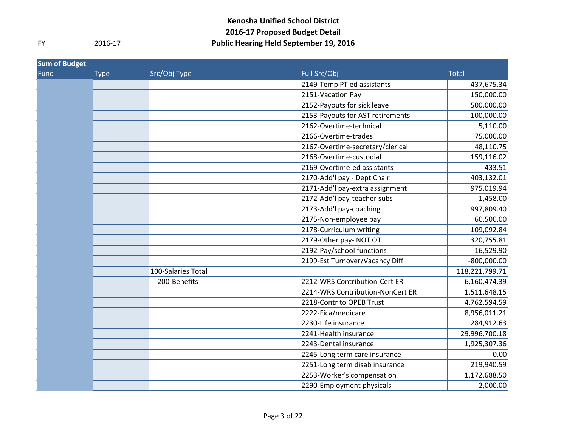| <b>Sum of Budget</b> |             |                    |                                  |                |
|----------------------|-------------|--------------------|----------------------------------|----------------|
| Fund                 | <b>Type</b> | Src/Obj Type       | Full Src/Obj                     | <b>Total</b>   |
|                      |             |                    | 2149-Temp PT ed assistants       | 437,675.34     |
|                      |             |                    | 2151-Vacation Pay                | 150,000.00     |
|                      |             |                    | 2152-Payouts for sick leave      | 500,000.00     |
|                      |             |                    | 2153-Payouts for AST retirements | 100,000.00     |
|                      |             |                    | 2162-Overtime-technical          | 5,110.00       |
|                      |             |                    | 2166-Overtime-trades             | 75,000.00      |
|                      |             |                    | 2167-Overtime-secretary/clerical | 48,110.75      |
|                      |             |                    | 2168-Overtime-custodial          | 159,116.02     |
|                      |             |                    | 2169-Overtime-ed assistants      | 433.51         |
|                      |             |                    | 2170-Add'l pay - Dept Chair      | 403,132.01     |
|                      |             |                    | 2171-Add'l pay-extra assignment  | 975,019.94     |
|                      |             |                    | 2172-Add'l pay-teacher subs      | 1,458.00       |
|                      |             |                    | 2173-Add'l pay-coaching          | 997,809.40     |
|                      |             |                    | 2175-Non-employee pay            | 60,500.00      |
|                      |             |                    | 2178-Curriculum writing          | 109,092.84     |
|                      |             |                    | 2179-Other pay-NOT OT            | 320,755.81     |
|                      |             |                    | 2192-Pay/school functions        | 16,529.90      |
|                      |             |                    | 2199-Est Turnover/Vacancy Diff   | $-800,000.00$  |
|                      |             | 100-Salaries Total |                                  | 118,221,799.71 |
|                      |             | 200-Benefits       | 2212-WRS Contribution-Cert ER    | 6,160,474.39   |
|                      |             |                    | 2214-WRS Contribution-NonCert ER | 1,511,648.15   |
|                      |             |                    | 2218-Contr to OPEB Trust         | 4,762,594.59   |
|                      |             |                    | 2222-Fica/medicare               | 8,956,011.21   |
|                      |             |                    | 2230-Life insurance              | 284,912.63     |
|                      |             |                    | 2241-Health insurance            | 29,996,700.18  |
|                      |             |                    | 2243-Dental insurance            | 1,925,307.36   |
|                      |             |                    | 2245-Long term care insurance    | 0.00           |
|                      |             |                    | 2251-Long term disab insurance   | 219,940.59     |
|                      |             |                    | 2253-Worker's compensation       | 1,172,688.50   |
|                      |             |                    | 2290-Employment physicals        | 2,000.00       |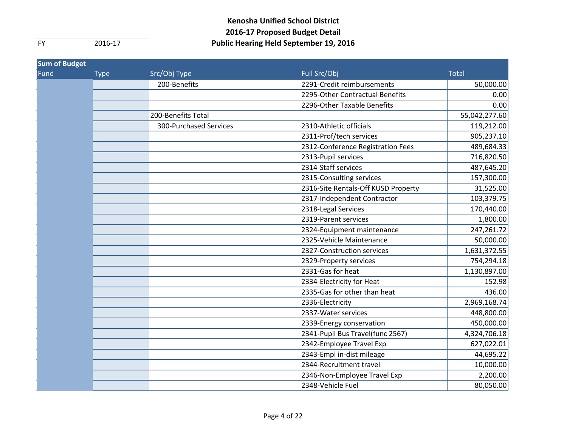| <b>Sum of Budget</b> |             |                        |                                     |               |
|----------------------|-------------|------------------------|-------------------------------------|---------------|
| Fund                 | <b>Type</b> | Src/Obj Type           | Full Src/Obj                        | <b>Total</b>  |
|                      |             | 200-Benefits           | 2291-Credit reimbursements          | 50,000.00     |
|                      |             |                        | 2295-Other Contractual Benefits     | 0.00          |
|                      |             |                        | 2296-Other Taxable Benefits         | 0.00          |
|                      |             | 200-Benefits Total     |                                     | 55,042,277.60 |
|                      |             | 300-Purchased Services | 2310-Athletic officials             | 119,212.00    |
|                      |             |                        | 2311-Prof/tech services             | 905,237.10    |
|                      |             |                        | 2312-Conference Registration Fees   | 489,684.33    |
|                      |             |                        | 2313-Pupil services                 | 716,820.50    |
|                      |             |                        | 2314-Staff services                 | 487,645.20    |
|                      |             |                        | 2315-Consulting services            | 157,300.00    |
|                      |             |                        | 2316-Site Rentals-Off KUSD Property | 31,525.00     |
|                      |             |                        | 2317-Independent Contractor         | 103,379.75    |
|                      |             |                        | 2318-Legal Services                 | 170,440.00    |
|                      |             |                        | 2319-Parent services                | 1,800.00      |
|                      |             |                        | 2324-Equipment maintenance          | 247,261.72    |
|                      |             |                        | 2325-Vehicle Maintenance            | 50,000.00     |
|                      |             |                        | 2327-Construction services          | 1,631,372.55  |
|                      |             |                        | 2329-Property services              | 754,294.18    |
|                      |             |                        | 2331-Gas for heat                   | 1,130,897.00  |
|                      |             |                        | 2334-Electricity for Heat           | 152.98        |
|                      |             |                        | 2335-Gas for other than heat        | 436.00        |
|                      |             |                        | 2336-Electricity                    | 2,969,168.74  |
|                      |             |                        | 2337-Water services                 | 448,800.00    |
|                      |             |                        | 2339-Energy conservation            | 450,000.00    |
|                      |             |                        | 2341-Pupil Bus Travel(func 2567)    | 4,324,706.18  |
|                      |             |                        | 2342-Employee Travel Exp            | 627,022.01    |
|                      |             |                        | 2343-Empl in-dist mileage           | 44,695.22     |
|                      |             |                        | 2344-Recruitment travel             | 10,000.00     |
|                      |             |                        | 2346-Non-Employee Travel Exp        | 2,200.00      |
|                      |             |                        | 2348-Vehicle Fuel                   | 80,050.00     |
|                      |             |                        |                                     |               |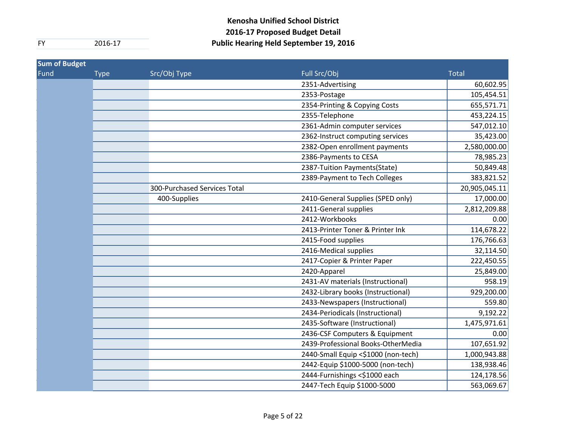| Sum of Budget |             |                              |                                     |               |
|---------------|-------------|------------------------------|-------------------------------------|---------------|
| Fund          | <b>Type</b> | Src/Obj Type                 | Full Src/Obj                        | <b>Total</b>  |
|               |             |                              | 2351-Advertising                    | 60,602.95     |
|               |             |                              | 2353-Postage                        | 105,454.51    |
|               |             |                              | 2354-Printing & Copying Costs       | 655,571.71    |
|               |             |                              | 2355-Telephone                      | 453,224.15    |
|               |             |                              | 2361-Admin computer services        | 547,012.10    |
|               |             |                              | 2362-Instruct computing services    | 35,423.00     |
|               |             |                              | 2382-Open enrollment payments       | 2,580,000.00  |
|               |             |                              | 2386-Payments to CESA               | 78,985.23     |
|               |             |                              | 2387-Tuition Payments(State)        | 50,849.48     |
|               |             |                              | 2389-Payment to Tech Colleges       | 383,821.52    |
|               |             | 300-Purchased Services Total |                                     | 20,905,045.11 |
|               |             | 400-Supplies                 | 2410-General Supplies (SPED only)   | 17,000.00     |
|               |             |                              | 2411-General supplies               | 2,812,209.88  |
|               |             |                              | 2412-Workbooks                      | 0.00          |
|               |             |                              | 2413-Printer Toner & Printer Ink    | 114,678.22    |
|               |             |                              | 2415-Food supplies                  | 176,766.63    |
|               |             |                              | 2416-Medical supplies               | 32,114.50     |
|               |             |                              | 2417-Copier & Printer Paper         | 222,450.55    |
|               |             |                              | 2420-Apparel                        | 25,849.00     |
|               |             |                              | 2431-AV materials (Instructional)   | 958.19        |
|               |             |                              | 2432-Library books (Instructional)  | 929,200.00    |
|               |             |                              | 2433-Newspapers (Instructional)     | 559.80        |
|               |             |                              | 2434-Periodicals (Instructional)    | 9,192.22      |
|               |             |                              | 2435-Software (Instructional)       | 1,475,971.61  |
|               |             |                              | 2436-CSF Computers & Equipment      | 0.00          |
|               |             |                              | 2439-Professional Books-OtherMedia  | 107,651.92    |
|               |             |                              | 2440-Small Equip <\$1000 (non-tech) | 1,000,943.88  |
|               |             |                              | 2442-Equip \$1000-5000 (non-tech)   | 138,938.46    |
|               |             |                              | 2444-Furnishings <\$1000 each       | 124,178.56    |
|               |             |                              | 2447-Tech Equip \$1000-5000         | 563,069.67    |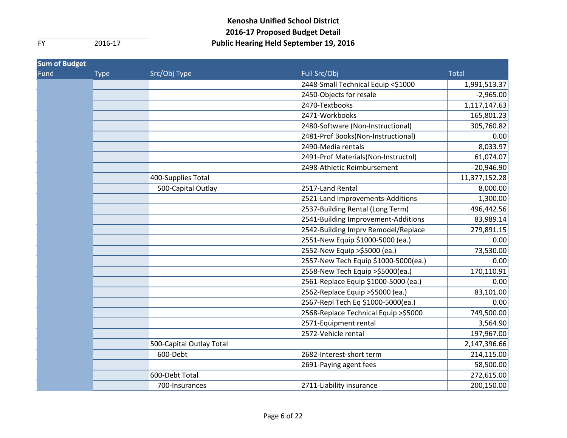| <b>Type</b> | Src/Obj Type             | Full Src/Obj                          | <b>Total</b>  |
|-------------|--------------------------|---------------------------------------|---------------|
|             |                          | 2448-Small Technical Equip <\$1000    | 1,991,513.37  |
|             |                          | 2450-Objects for resale               | $-2,965.00$   |
|             |                          | 2470-Textbooks                        | 1,117,147.63  |
|             |                          | 2471-Workbooks                        | 165,801.23    |
|             |                          | 2480-Software (Non-Instructional)     | 305,760.82    |
|             |                          | 2481-Prof Books(Non-Instructional)    | 0.00          |
|             |                          | 2490-Media rentals                    | 8,033.97      |
|             |                          | 2491-Prof Materials(Non-Instructnl)   | 61,074.07     |
|             |                          | 2498-Athletic Reimbursement           | $-20,946.90$  |
|             | 400-Supplies Total       |                                       | 11,377,152.28 |
|             | 500-Capital Outlay       | 2517-Land Rental                      | 8,000.00      |
|             |                          | 2521-Land Improvements-Additions      | 1,300.00      |
|             |                          | 2537-Building Rental (Long Term)      | 496,442.56    |
|             |                          | 2541-Building Improvement-Additions   | 83,989.14     |
|             |                          | 2542-Building Imprv Remodel/Replace   | 279,891.15    |
|             |                          | 2551-New Equip \$1000-5000 (ea.)      | 0.00          |
|             |                          | 2552-New Equip > \$5000 (ea.)         | 73,530.00     |
|             |                          | 2557-New Tech Equip \$1000-5000(ea.)  | 0.00          |
|             |                          | 2558-New Tech Equip > \$5000(ea.)     | 170,110.91    |
|             |                          | 2561-Replace Equip \$1000-5000 (ea.)  | 0.00          |
|             |                          | 2562-Replace Equip > \$5000 (ea.)     | 83,101.00     |
|             |                          | 2567-Repl Tech Eq \$1000-5000(ea.)    | 0.00          |
|             |                          | 2568-Replace Technical Equip > \$5000 | 749,500.00    |
|             |                          | 2571-Equipment rental                 | 3,564.90      |
|             |                          | 2572-Vehicle rental                   | 197,967.00    |
|             | 500-Capital Outlay Total |                                       | 2,147,396.66  |
|             | 600-Debt                 | 2682-Interest-short term              | 214,115.00    |
|             |                          | 2691-Paying agent fees                | 58,500.00     |
|             | 600-Debt Total           |                                       | 272,615.00    |
|             | 700-Insurances           | 2711-Liability insurance              | 200,150.00    |
|             |                          |                                       |               |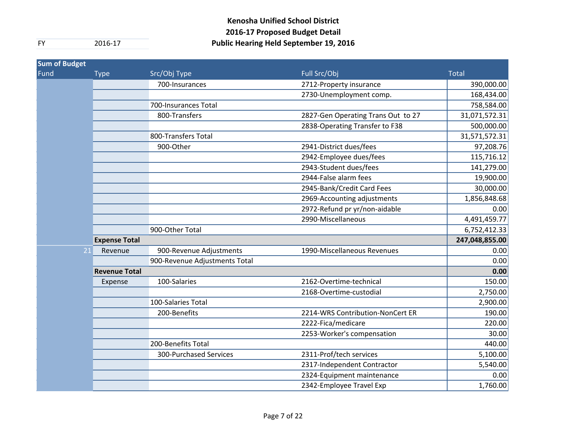| <b>Sum of Budget</b> |                      |                               |                                    |                |
|----------------------|----------------------|-------------------------------|------------------------------------|----------------|
| Fund                 | <b>Type</b>          | Src/Obj Type                  | Full Src/Obj                       | <b>Total</b>   |
|                      |                      | 700-Insurances                | 2712-Property insurance            | 390,000.00     |
|                      |                      |                               | 2730-Unemployment comp.            | 168,434.00     |
|                      |                      | 700-Insurances Total          |                                    | 758,584.00     |
|                      |                      | 800-Transfers                 | 2827-Gen Operating Trans Out to 27 | 31,071,572.31  |
|                      |                      |                               | 2838-Operating Transfer to F38     | 500,000.00     |
|                      |                      | 800-Transfers Total           |                                    | 31,571,572.31  |
|                      |                      | 900-Other                     | 2941-District dues/fees            | 97,208.76      |
|                      |                      |                               | 2942-Employee dues/fees            | 115,716.12     |
|                      |                      |                               | 2943-Student dues/fees             | 141,279.00     |
|                      |                      |                               | 2944-False alarm fees              | 19,900.00      |
|                      |                      |                               | 2945-Bank/Credit Card Fees         | 30,000.00      |
|                      |                      |                               | 2969-Accounting adjustments        | 1,856,848.68   |
|                      |                      |                               | 2972-Refund pr yr/non-aidable      | 0.00           |
|                      |                      |                               | 2990-Miscellaneous                 | 4,491,459.77   |
|                      |                      | 900-Other Total               |                                    | 6,752,412.33   |
|                      | <b>Expense Total</b> |                               |                                    | 247,048,855.00 |
| 21                   | Revenue              | 900-Revenue Adjustments       | 1990-Miscellaneous Revenues        | 0.00           |
|                      |                      | 900-Revenue Adjustments Total |                                    | 0.00           |
|                      | <b>Revenue Total</b> |                               |                                    | 0.00           |
|                      | Expense              | 100-Salaries                  | 2162-Overtime-technical            | 150.00         |
|                      |                      |                               | 2168-Overtime-custodial            | 2,750.00       |
|                      |                      | 100-Salaries Total            |                                    | 2,900.00       |
|                      |                      | 200-Benefits                  | 2214-WRS Contribution-NonCert ER   | 190.00         |
|                      |                      |                               | 2222-Fica/medicare                 | 220.00         |
|                      |                      |                               | 2253-Worker's compensation         | 30.00          |
|                      |                      | 200-Benefits Total            |                                    | 440.00         |
|                      |                      | 300-Purchased Services        | 2311-Prof/tech services            | 5,100.00       |
|                      |                      |                               | 2317-Independent Contractor        | 5,540.00       |
|                      |                      |                               | 2324-Equipment maintenance         | 0.00           |
|                      |                      |                               | 2342-Employee Travel Exp           | 1,760.00       |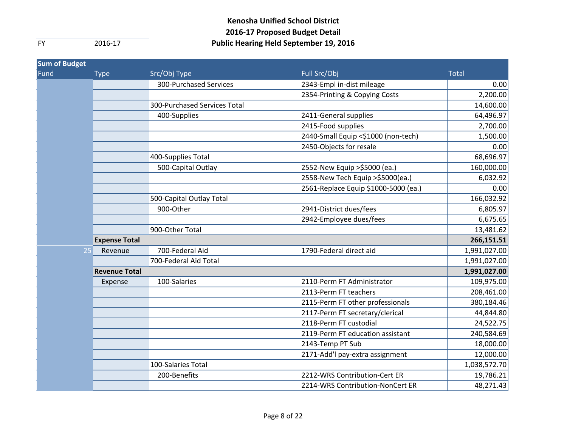| <b>Sum of Budget</b> |                      |                               |                                      |              |
|----------------------|----------------------|-------------------------------|--------------------------------------|--------------|
| Fund                 | <b>Type</b>          | Src/Obj Type                  | Full Src/Obj                         | <b>Total</b> |
|                      |                      | <b>300-Purchased Services</b> | 2343-Empl in-dist mileage            | 0.00         |
|                      |                      |                               | 2354-Printing & Copying Costs        | 2,200.00     |
|                      |                      | 300-Purchased Services Total  |                                      | 14,600.00    |
|                      |                      | 400-Supplies                  | 2411-General supplies                | 64,496.97    |
|                      |                      |                               | 2415-Food supplies                   | 2,700.00     |
|                      |                      |                               | 2440-Small Equip <\$1000 (non-tech)  | 1,500.00     |
|                      |                      |                               | 2450-Objects for resale              | 0.00         |
|                      |                      | 400-Supplies Total            |                                      | 68,696.97    |
|                      |                      | 500-Capital Outlay            | 2552-New Equip > \$5000 (ea.)        | 160,000.00   |
|                      |                      |                               | 2558-New Tech Equip > \$5000(ea.)    | 6,032.92     |
|                      |                      |                               | 2561-Replace Equip \$1000-5000 (ea.) | 0.00         |
|                      |                      | 500-Capital Outlay Total      |                                      | 166,032.92   |
|                      |                      | 900-Other                     | 2941-District dues/fees              | 6,805.97     |
|                      |                      |                               | 2942-Employee dues/fees              | 6,675.65     |
|                      |                      | 900-Other Total               |                                      | 13,481.62    |
|                      | <b>Expense Total</b> |                               |                                      | 266,151.51   |
| 25                   | Revenue              | 700-Federal Aid               | 1790-Federal direct aid              | 1,991,027.00 |
|                      |                      | 700-Federal Aid Total         |                                      | 1,991,027.00 |
|                      | <b>Revenue Total</b> |                               |                                      | 1,991,027.00 |
|                      | Expense              | 100-Salaries                  | 2110-Perm FT Administrator           | 109,975.00   |
|                      |                      |                               | 2113-Perm FT teachers                | 208,461.00   |
|                      |                      |                               | 2115-Perm FT other professionals     | 380,184.46   |
|                      |                      |                               | 2117-Perm FT secretary/clerical      | 44,844.80    |
|                      |                      |                               | 2118-Perm FT custodial               | 24,522.75    |
|                      |                      |                               | 2119-Perm FT education assistant     | 240,584.69   |
|                      |                      |                               | 2143-Temp PT Sub                     | 18,000.00    |
|                      |                      |                               | 2171-Add'l pay-extra assignment      | 12,000.00    |
|                      |                      | 100-Salaries Total            |                                      | 1,038,572.70 |
|                      |                      | 200-Benefits                  | 2212-WRS Contribution-Cert ER        | 19,786.21    |
|                      |                      |                               | 2214-WRS Contribution-NonCert ER     | 48,271.43    |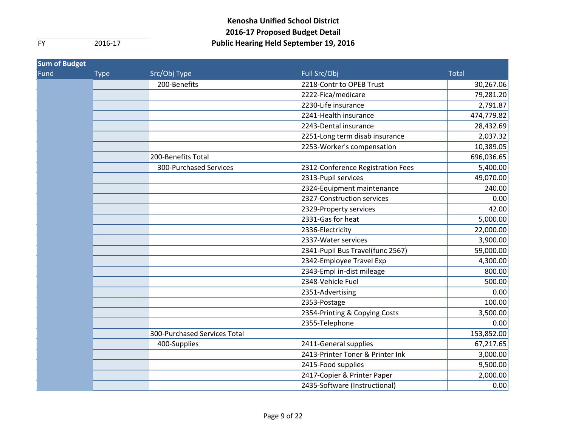| <b>Sum of Budget</b> |             |                              |                                   |              |
|----------------------|-------------|------------------------------|-----------------------------------|--------------|
| Fund                 | <b>Type</b> | Src/Obj Type                 | Full Src/Obj                      | <b>Total</b> |
|                      |             | 200-Benefits                 | 2218-Contr to OPEB Trust          | 30,267.06    |
|                      |             |                              | 2222-Fica/medicare                | 79,281.20    |
|                      |             |                              | 2230-Life insurance               | 2,791.87     |
|                      |             |                              | 2241-Health insurance             | 474,779.82   |
|                      |             |                              | 2243-Dental insurance             | 28,432.69    |
|                      |             |                              | 2251-Long term disab insurance    | 2,037.32     |
|                      |             |                              | 2253-Worker's compensation        | 10,389.05    |
|                      |             | 200-Benefits Total           |                                   | 696,036.65   |
|                      |             | 300-Purchased Services       | 2312-Conference Registration Fees | 5,400.00     |
|                      |             |                              | 2313-Pupil services               | 49,070.00    |
|                      |             |                              | 2324-Equipment maintenance        | 240.00       |
|                      |             |                              | 2327-Construction services        | 0.00         |
|                      |             |                              | 2329-Property services            | 42.00        |
|                      |             |                              | 2331-Gas for heat                 | 5,000.00     |
|                      |             |                              | 2336-Electricity                  | 22,000.00    |
|                      |             |                              | 2337-Water services               | 3,900.00     |
|                      |             |                              | 2341-Pupil Bus Travel(func 2567)  | 59,000.00    |
|                      |             |                              | 2342-Employee Travel Exp          | 4,300.00     |
|                      |             |                              | 2343-Empl in-dist mileage         | 800.00       |
|                      |             |                              | 2348-Vehicle Fuel                 | 500.00       |
|                      |             |                              | 2351-Advertising                  | 0.00         |
|                      |             |                              | 2353-Postage                      | 100.00       |
|                      |             |                              | 2354-Printing & Copying Costs     | 3,500.00     |
|                      |             |                              | 2355-Telephone                    | 0.00         |
|                      |             | 300-Purchased Services Total |                                   | 153,852.00   |
|                      |             | 400-Supplies                 | 2411-General supplies             | 67,217.65    |
|                      |             |                              | 2413-Printer Toner & Printer Ink  | 3,000.00     |
|                      |             |                              | 2415-Food supplies                | 9,500.00     |
|                      |             |                              | 2417-Copier & Printer Paper       | 2,000.00     |
|                      |             |                              | 2435-Software (Instructional)     | 0.00         |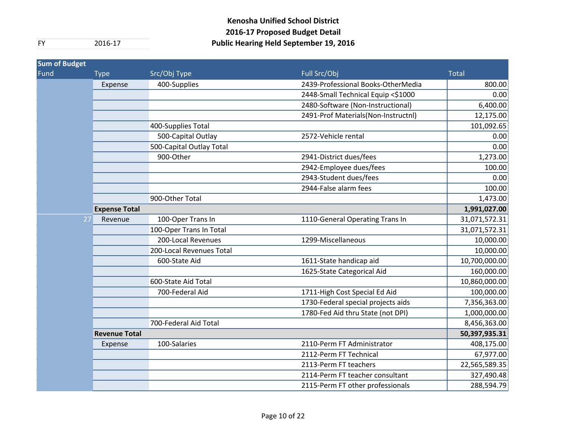| <b>Sum of Budget</b> |                      |                          |                                     |               |
|----------------------|----------------------|--------------------------|-------------------------------------|---------------|
| Fund                 | <b>Type</b>          | Src/Obj Type             | Full Src/Obj                        | <b>Total</b>  |
|                      | Expense              | 400-Supplies             | 2439-Professional Books-OtherMedia  | 800.00        |
|                      |                      |                          | 2448-Small Technical Equip <\$1000  | 0.00          |
|                      |                      |                          | 2480-Software (Non-Instructional)   | 6,400.00      |
|                      |                      |                          | 2491-Prof Materials(Non-Instructnl) | 12,175.00     |
|                      |                      | 400-Supplies Total       |                                     | 101,092.65    |
|                      |                      | 500-Capital Outlay       | 2572-Vehicle rental                 | 0.00          |
|                      |                      | 500-Capital Outlay Total |                                     | 0.00          |
|                      |                      | 900-Other                | 2941-District dues/fees             | 1,273.00      |
|                      |                      |                          | 2942-Employee dues/fees             | 100.00        |
|                      |                      |                          | 2943-Student dues/fees              | 0.00          |
|                      |                      |                          | 2944-False alarm fees               | 100.00        |
|                      |                      | 900-Other Total          |                                     | 1,473.00      |
|                      | <b>Expense Total</b> |                          |                                     | 1,991,027.00  |
| 27                   | Revenue              | 100-Oper Trans In        | 1110-General Operating Trans In     | 31,071,572.31 |
|                      |                      | 100-Oper Trans In Total  |                                     | 31,071,572.31 |
|                      |                      | 200-Local Revenues       | 1299-Miscellaneous                  | 10,000.00     |
|                      |                      | 200-Local Revenues Total |                                     | 10,000.00     |
|                      |                      | 600-State Aid            | 1611-State handicap aid             | 10,700,000.00 |
|                      |                      |                          | 1625-State Categorical Aid          | 160,000.00    |
|                      |                      | 600-State Aid Total      |                                     | 10,860,000.00 |
|                      |                      | 700-Federal Aid          | 1711-High Cost Special Ed Aid       | 100,000.00    |
|                      |                      |                          | 1730-Federal special projects aids  | 7,356,363.00  |
|                      |                      |                          | 1780-Fed Aid thru State (not DPI)   | 1,000,000.00  |
|                      |                      | 700-Federal Aid Total    |                                     | 8,456,363.00  |
|                      | <b>Revenue Total</b> |                          |                                     | 50,397,935.31 |
|                      | Expense              | 100-Salaries             | 2110-Perm FT Administrator          | 408,175.00    |
|                      |                      |                          | 2112-Perm FT Technical              | 67,977.00     |
|                      |                      |                          | 2113-Perm FT teachers               | 22,565,589.35 |
|                      |                      |                          | 2114-Perm FT teacher consultant     | 327,490.48    |
|                      |                      |                          | 2115-Perm FT other professionals    | 288,594.79    |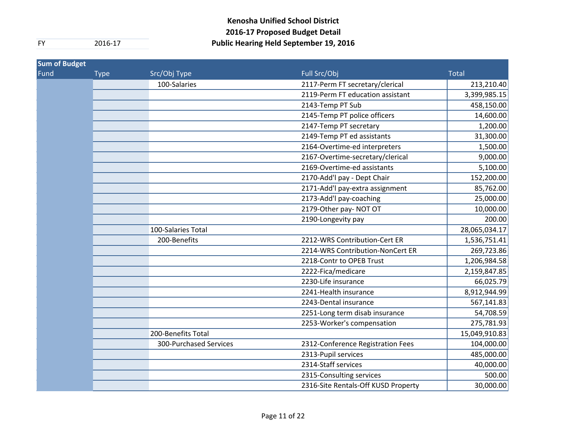| <b>Sum of Budget</b> |             |                        |                                     |               |
|----------------------|-------------|------------------------|-------------------------------------|---------------|
| Fund                 | <b>Type</b> | Src/Obj Type           | Full Src/Obj                        | <b>Total</b>  |
|                      |             | 100-Salaries           | 2117-Perm FT secretary/clerical     | 213,210.40    |
|                      |             |                        | 2119-Perm FT education assistant    | 3,399,985.15  |
|                      |             |                        | 2143-Temp PT Sub                    | 458,150.00    |
|                      |             |                        | 2145-Temp PT police officers        | 14,600.00     |
|                      |             |                        | 2147-Temp PT secretary              | 1,200.00      |
|                      |             |                        | 2149-Temp PT ed assistants          | 31,300.00     |
|                      |             |                        | 2164-Overtime-ed interpreters       | 1,500.00      |
|                      |             |                        | 2167-Overtime-secretary/clerical    | 9,000.00      |
|                      |             |                        | 2169-Overtime-ed assistants         | 5,100.00      |
|                      |             |                        | 2170-Add'l pay - Dept Chair         | 152,200.00    |
|                      |             |                        | 2171-Add'l pay-extra assignment     | 85,762.00     |
|                      |             |                        | 2173-Add'l pay-coaching             | 25,000.00     |
|                      |             |                        | 2179-Other pay-NOT OT               | 10,000.00     |
|                      |             |                        | 2190-Longevity pay                  | 200.00        |
|                      |             | 100-Salaries Total     |                                     | 28,065,034.17 |
|                      |             | 200-Benefits           | 2212-WRS Contribution-Cert ER       | 1,536,751.41  |
|                      |             |                        | 2214-WRS Contribution-NonCert ER    | 269,723.86    |
|                      |             |                        | 2218-Contr to OPEB Trust            | 1,206,984.58  |
|                      |             |                        | 2222-Fica/medicare                  | 2,159,847.85  |
|                      |             |                        | 2230-Life insurance                 | 66,025.79     |
|                      |             |                        | 2241-Health insurance               | 8,912,944.99  |
|                      |             |                        | 2243-Dental insurance               | 567,141.83    |
|                      |             |                        | 2251-Long term disab insurance      | 54,708.59     |
|                      |             |                        | 2253-Worker's compensation          | 275,781.93    |
|                      |             | 200-Benefits Total     |                                     | 15,049,910.83 |
|                      |             | 300-Purchased Services | 2312-Conference Registration Fees   | 104,000.00    |
|                      |             |                        | 2313-Pupil services                 | 485,000.00    |
|                      |             |                        | 2314-Staff services                 | 40,000.00     |
|                      |             |                        | 2315-Consulting services            | 500.00        |
|                      |             |                        | 2316-Site Rentals-Off KUSD Property | 30,000.00     |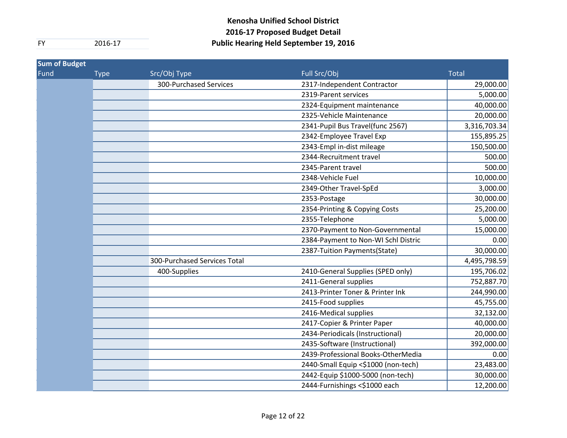| <b>Sum of Budget</b> |             |                              |                                     |              |
|----------------------|-------------|------------------------------|-------------------------------------|--------------|
| Fund                 | <b>Type</b> | Src/Obj Type                 | Full Src/Obj                        | <b>Total</b> |
|                      |             | 300-Purchased Services       | 2317-Independent Contractor         | 29,000.00    |
|                      |             |                              | 2319-Parent services                | 5,000.00     |
|                      |             |                              | 2324-Equipment maintenance          | 40,000.00    |
|                      |             |                              | 2325-Vehicle Maintenance            | 20,000.00    |
|                      |             |                              | 2341-Pupil Bus Travel(func 2567)    | 3,316,703.34 |
|                      |             |                              | 2342-Employee Travel Exp            | 155,895.25   |
|                      |             |                              | 2343-Empl in-dist mileage           | 150,500.00   |
|                      |             |                              | 2344-Recruitment travel             | 500.00       |
|                      |             |                              | 2345-Parent travel                  | 500.00       |
|                      |             |                              | 2348-Vehicle Fuel                   | 10,000.00    |
|                      |             |                              | 2349-Other Travel-SpEd              | 3,000.00     |
|                      |             |                              | 2353-Postage                        | 30,000.00    |
|                      |             |                              | 2354-Printing & Copying Costs       | 25,200.00    |
|                      |             |                              | 2355-Telephone                      | 5,000.00     |
|                      |             |                              | 2370-Payment to Non-Governmental    | 15,000.00    |
|                      |             |                              | 2384-Payment to Non-WI Schl Distric | 0.00         |
|                      |             |                              | 2387-Tuition Payments(State)        | 30,000.00    |
|                      |             | 300-Purchased Services Total |                                     | 4,495,798.59 |
|                      |             | 400-Supplies                 | 2410-General Supplies (SPED only)   | 195,706.02   |
|                      |             |                              | 2411-General supplies               | 752,887.70   |
|                      |             |                              | 2413-Printer Toner & Printer Ink    | 244,990.00   |
|                      |             |                              | 2415-Food supplies                  | 45,755.00    |
|                      |             |                              | 2416-Medical supplies               | 32,132.00    |
|                      |             |                              | 2417-Copier & Printer Paper         | 40,000.00    |
|                      |             |                              | 2434-Periodicals (Instructional)    | 20,000.00    |
|                      |             |                              | 2435-Software (Instructional)       | 392,000.00   |
|                      |             |                              | 2439-Professional Books-OtherMedia  | 0.00         |
|                      |             |                              | 2440-Small Equip <\$1000 (non-tech) | 23,483.00    |
|                      |             |                              | 2442-Equip \$1000-5000 (non-tech)   | 30,000.00    |
|                      |             |                              | 2444-Furnishings <\$1000 each       | 12,200.00    |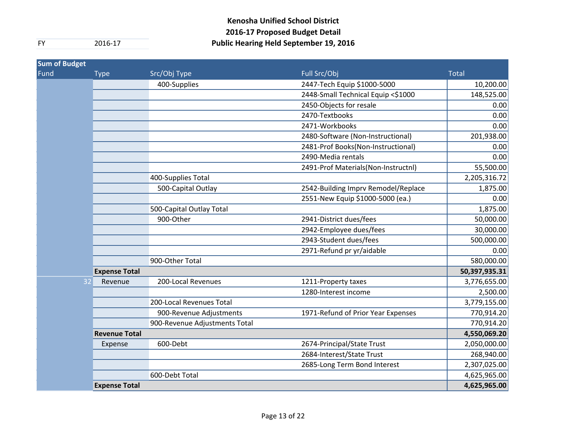| <b>Sum of Budget</b> |                      |                               |                                     |               |
|----------------------|----------------------|-------------------------------|-------------------------------------|---------------|
| Fund                 | <b>Type</b>          | Src/Obj Type                  | Full Src/Obj                        | <b>Total</b>  |
|                      |                      | 400-Supplies                  | 2447-Tech Equip \$1000-5000         | 10,200.00     |
|                      |                      |                               | 2448-Small Technical Equip <\$1000  | 148,525.00    |
|                      |                      |                               | 2450-Objects for resale             | 0.00          |
|                      |                      |                               | 2470-Textbooks                      | 0.00          |
|                      |                      |                               | 2471-Workbooks                      | 0.00          |
|                      |                      |                               | 2480-Software (Non-Instructional)   | 201,938.00    |
|                      |                      |                               | 2481-Prof Books(Non-Instructional)  | 0.00          |
|                      |                      |                               | 2490-Media rentals                  | 0.00          |
|                      |                      |                               | 2491-Prof Materials(Non-Instructnl) | 55,500.00     |
|                      |                      | 400-Supplies Total            |                                     | 2,205,316.72  |
|                      |                      | 500-Capital Outlay            | 2542-Building Imprv Remodel/Replace | 1,875.00      |
|                      |                      |                               | 2551-New Equip \$1000-5000 (ea.)    | 0.00          |
|                      |                      | 500-Capital Outlay Total      |                                     | 1,875.00      |
|                      |                      | 900-Other                     | 2941-District dues/fees             | 50,000.00     |
|                      |                      |                               | 2942-Employee dues/fees             | 30,000.00     |
|                      |                      |                               | 2943-Student dues/fees              | 500,000.00    |
|                      |                      |                               | 2971-Refund pr yr/aidable           | 0.00          |
|                      |                      | 900-Other Total               |                                     | 580,000.00    |
|                      | <b>Expense Total</b> |                               |                                     | 50,397,935.31 |
| 32                   | Revenue              | 200-Local Revenues            | 1211-Property taxes                 | 3,776,655.00  |
|                      |                      |                               | 1280-Interest income                | 2,500.00      |
|                      |                      | 200-Local Revenues Total      |                                     | 3,779,155.00  |
|                      |                      | 900-Revenue Adjustments       | 1971-Refund of Prior Year Expenses  | 770,914.20    |
|                      |                      | 900-Revenue Adjustments Total |                                     | 770,914.20    |
|                      | <b>Revenue Total</b> |                               |                                     | 4,550,069.20  |
|                      | Expense              | 600-Debt                      | 2674-Principal/State Trust          | 2,050,000.00  |
|                      |                      |                               | 2684-Interest/State Trust           | 268,940.00    |
|                      |                      |                               | 2685-Long Term Bond Interest        | 2,307,025.00  |
|                      |                      | 600-Debt Total                |                                     | 4,625,965.00  |
|                      | <b>Expense Total</b> |                               |                                     | 4,625,965.00  |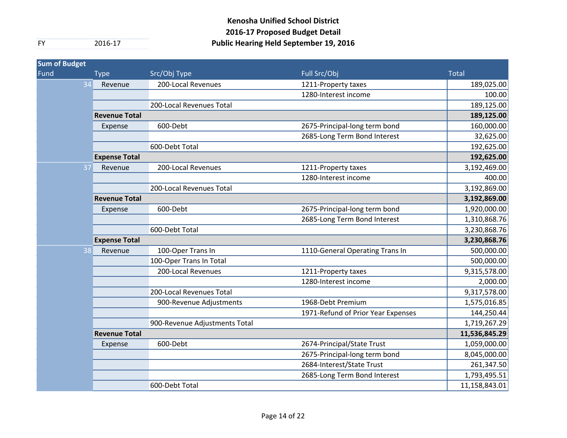| <b>Sum of Budget</b> |                      |                               |                                    |               |
|----------------------|----------------------|-------------------------------|------------------------------------|---------------|
| Fund                 | <b>Type</b>          | Src/Obj Type                  | Full Src/Obj                       | <b>Total</b>  |
| 34                   | Revenue              | 200-Local Revenues            | 1211-Property taxes                | 189,025.00    |
|                      |                      |                               | 1280-Interest income               | 100.00        |
|                      |                      | 200-Local Revenues Total      |                                    | 189,125.00    |
|                      | <b>Revenue Total</b> |                               |                                    | 189,125.00    |
|                      | Expense              | 600-Debt                      | 2675-Principal-long term bond      | 160,000.00    |
|                      |                      |                               | 2685-Long Term Bond Interest       | 32,625.00     |
|                      |                      | 600-Debt Total                |                                    | 192,625.00    |
|                      | <b>Expense Total</b> |                               |                                    | 192,625.00    |
|                      | 37<br>Revenue        | 200-Local Revenues            | 1211-Property taxes                | 3,192,469.00  |
|                      |                      |                               | 1280-Interest income               | 400.00        |
|                      |                      | 200-Local Revenues Total      |                                    | 3,192,869.00  |
|                      | <b>Revenue Total</b> |                               |                                    | 3,192,869.00  |
|                      | Expense              | 600-Debt                      | 2675-Principal-long term bond      | 1,920,000.00  |
|                      |                      |                               | 2685-Long Term Bond Interest       | 1,310,868.76  |
|                      |                      | 600-Debt Total                |                                    | 3,230,868.76  |
|                      | <b>Expense Total</b> |                               |                                    | 3,230,868.76  |
|                      | 38<br>Revenue        | 100-Oper Trans In             | 1110-General Operating Trans In    | 500,000.00    |
|                      |                      | 100-Oper Trans In Total       |                                    | 500,000.00    |
|                      |                      | 200-Local Revenues            | 1211-Property taxes                | 9,315,578.00  |
|                      |                      |                               | 1280-Interest income               | 2,000.00      |
|                      |                      | 200-Local Revenues Total      |                                    | 9,317,578.00  |
|                      |                      | 900-Revenue Adjustments       | 1968-Debt Premium                  | 1,575,016.85  |
|                      |                      |                               | 1971-Refund of Prior Year Expenses | 144,250.44    |
|                      |                      | 900-Revenue Adjustments Total |                                    | 1,719,267.29  |
|                      | <b>Revenue Total</b> |                               |                                    | 11,536,845.29 |
|                      | Expense              | 600-Debt                      | 2674-Principal/State Trust         | 1,059,000.00  |
|                      |                      |                               | 2675-Principal-long term bond      | 8,045,000.00  |
|                      |                      |                               | 2684-Interest/State Trust          | 261,347.50    |
|                      |                      |                               | 2685-Long Term Bond Interest       | 1,793,495.51  |
|                      |                      | 600-Debt Total                |                                    | 11,158,843.01 |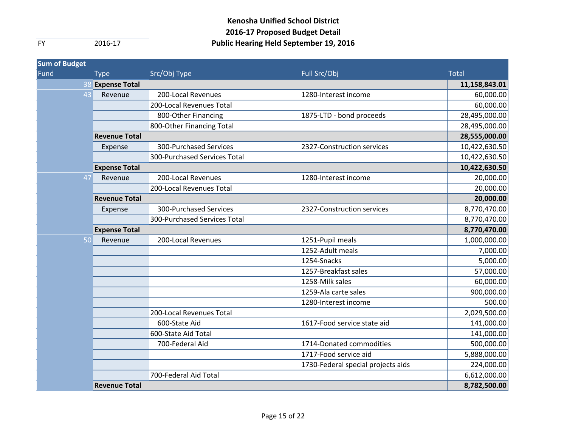| <b>Sum of Budget</b> |                      |                              |                                    |               |
|----------------------|----------------------|------------------------------|------------------------------------|---------------|
| Fund                 | <b>Type</b>          | Src/Obj Type                 | Full Src/Obj                       | <b>Total</b>  |
|                      | 38 Expense Total     |                              |                                    | 11,158,843.01 |
|                      | 43<br>Revenue        | 200-Local Revenues           | 1280-Interest income               | 60,000.00     |
|                      |                      | 200-Local Revenues Total     |                                    | 60,000.00     |
|                      |                      | 800-Other Financing          | 1875-LTD - bond proceeds           | 28,495,000.00 |
|                      |                      | 800-Other Financing Total    |                                    | 28,495,000.00 |
|                      | <b>Revenue Total</b> |                              |                                    | 28,555,000.00 |
|                      | Expense              | 300-Purchased Services       | 2327-Construction services         | 10,422,630.50 |
|                      |                      | 300-Purchased Services Total |                                    | 10,422,630.50 |
|                      | <b>Expense Total</b> |                              |                                    | 10,422,630.50 |
|                      | 47<br>Revenue        | 200-Local Revenues           | 1280-Interest income               | 20,000.00     |
|                      |                      | 200-Local Revenues Total     |                                    | 20,000.00     |
|                      | <b>Revenue Total</b> |                              |                                    | 20,000.00     |
|                      | Expense              | 300-Purchased Services       | 2327-Construction services         | 8,770,470.00  |
|                      |                      | 300-Purchased Services Total |                                    | 8,770,470.00  |
|                      | <b>Expense Total</b> |                              |                                    | 8,770,470.00  |
|                      | 50<br>Revenue        | 200-Local Revenues           | 1251-Pupil meals                   | 1,000,000.00  |
|                      |                      |                              | 1252-Adult meals                   | 7,000.00      |
|                      |                      |                              | 1254-Snacks                        | 5,000.00      |
|                      |                      |                              | 1257-Breakfast sales               | 57,000.00     |
|                      |                      |                              | 1258-Milk sales                    | 60,000.00     |
|                      |                      |                              | 1259-Ala carte sales               | 900,000.00    |
|                      |                      |                              | 1280-Interest income               | 500.00        |
|                      |                      | 200-Local Revenues Total     |                                    | 2,029,500.00  |
|                      |                      | 600-State Aid                | 1617-Food service state aid        | 141,000.00    |
|                      |                      | 600-State Aid Total          |                                    | 141,000.00    |
|                      |                      | 700-Federal Aid              | 1714-Donated commodities           | 500,000.00    |
|                      |                      |                              | 1717-Food service aid              | 5,888,000.00  |
|                      |                      |                              | 1730-Federal special projects aids | 224,000.00    |
|                      |                      | 700-Federal Aid Total        |                                    | 6,612,000.00  |
|                      | <b>Revenue Total</b> |                              |                                    | 8,782,500.00  |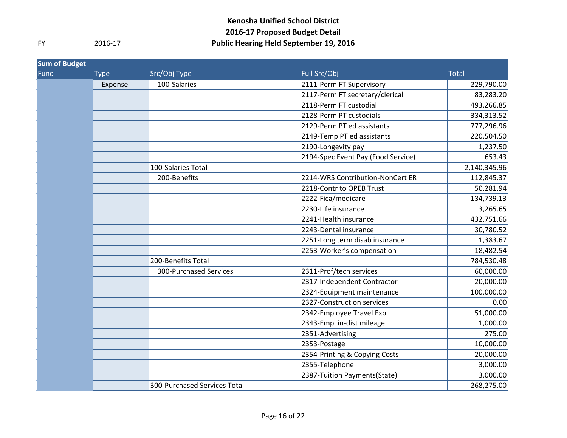| <b>Sum of Budget</b> |             |                              |                                    |              |
|----------------------|-------------|------------------------------|------------------------------------|--------------|
| Fund                 | <b>Type</b> | Src/Obj Type                 | Full Src/Obj                       | <b>Total</b> |
|                      | Expense     | 100-Salaries                 | 2111-Perm FT Supervisory           | 229,790.00   |
|                      |             |                              | 2117-Perm FT secretary/clerical    | 83,283.20    |
|                      |             |                              | 2118-Perm FT custodial             | 493,266.85   |
|                      |             |                              | 2128-Perm PT custodials            | 334,313.52   |
|                      |             |                              | 2129-Perm PT ed assistants         | 777,296.96   |
|                      |             |                              | 2149-Temp PT ed assistants         | 220,504.50   |
|                      |             |                              | 2190-Longevity pay                 | 1,237.50     |
|                      |             |                              | 2194-Spec Event Pay (Food Service) | 653.43       |
|                      |             | 100-Salaries Total           |                                    | 2,140,345.96 |
|                      |             | 200-Benefits                 | 2214-WRS Contribution-NonCert ER   | 112,845.37   |
|                      |             |                              | 2218-Contr to OPEB Trust           | 50,281.94    |
|                      |             |                              | 2222-Fica/medicare                 | 134,739.13   |
|                      |             |                              | 2230-Life insurance                | 3,265.65     |
|                      |             |                              | 2241-Health insurance              | 432,751.66   |
|                      |             |                              | 2243-Dental insurance              | 30,780.52    |
|                      |             |                              | 2251-Long term disab insurance     | 1,383.67     |
|                      |             |                              | 2253-Worker's compensation         | 18,482.54    |
|                      |             | 200-Benefits Total           |                                    | 784,530.48   |
|                      |             | 300-Purchased Services       | 2311-Prof/tech services            | 60,000.00    |
|                      |             |                              | 2317-Independent Contractor        | 20,000.00    |
|                      |             |                              | 2324-Equipment maintenance         | 100,000.00   |
|                      |             |                              | 2327-Construction services         | 0.00         |
|                      |             |                              | 2342-Employee Travel Exp           | 51,000.00    |
|                      |             |                              | 2343-Empl in-dist mileage          | 1,000.00     |
|                      |             |                              | 2351-Advertising                   | 275.00       |
|                      |             |                              | 2353-Postage                       | 10,000.00    |
|                      |             |                              | 2354-Printing & Copying Costs      | 20,000.00    |
|                      |             |                              | 2355-Telephone                     | 3,000.00     |
|                      |             |                              | 2387-Tuition Payments(State)       | 3,000.00     |
|                      |             | 300-Purchased Services Total |                                    | 268,275.00   |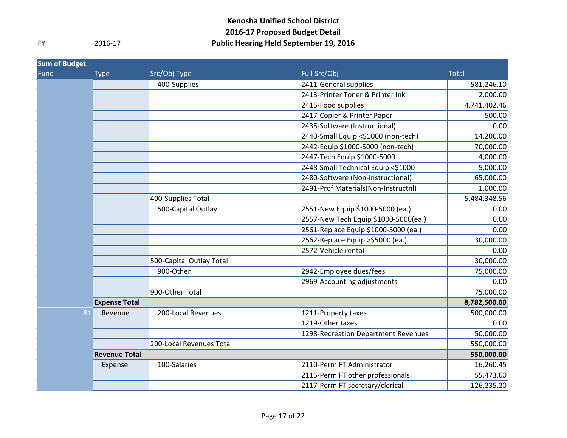| <b>Sum of Budget</b> |                      |                          |                                      |              |
|----------------------|----------------------|--------------------------|--------------------------------------|--------------|
| Fund                 | <b>Type</b>          | Src/Obj Type             | Full Src/Obj                         | <b>Total</b> |
|                      |                      | 400-Supplies             | 2411-General supplies                | 581,246.10   |
|                      |                      |                          | 2413-Printer Toner & Printer Ink     | 2,000.00     |
|                      |                      |                          | 2415-Food supplies                   | 4,741,402.46 |
|                      |                      |                          | 2417-Copier & Printer Paper          | 500.00       |
|                      |                      |                          | 2435-Software (Instructional)        | 0.00         |
|                      |                      |                          | 2440-Small Equip <\$1000 (non-tech)  | 14,200.00    |
|                      |                      |                          | 2442-Equip \$1000-5000 (non-tech)    | 70,000.00    |
|                      |                      |                          | 2447-Tech Equip \$1000-5000          | 4,000.00     |
|                      |                      |                          | 2448-Small Technical Equip <\$1000   | 5,000.00     |
|                      |                      |                          | 2480-Software (Non-Instructional)    | 65,000.00    |
|                      |                      |                          | 2491-Prof Materials(Non-Instructnl)  | 1,000.00     |
|                      |                      | 400-Supplies Total       |                                      | 5,484,348.56 |
|                      |                      | 500-Capital Outlay       | 2551-New Equip \$1000-5000 (ea.)     | 0.00         |
|                      |                      |                          | 2557-New Tech Equip \$1000-5000(ea.) | 0.00         |
|                      |                      |                          | 2561-Replace Equip \$1000-5000 (ea.) | 0.00         |
|                      |                      |                          | 2562-Replace Equip >\$5000 (ea.)     | 30,000.00    |
|                      |                      |                          | 2572-Vehicle rental                  | 0.00         |
|                      |                      | 500-Capital Outlay Total |                                      | 30,000.00    |
|                      |                      | 900-Other                | 2942-Employee dues/fees              | 75,000.00    |
|                      |                      |                          | 2969-Accounting adjustments          | 0.00         |
|                      |                      | 900-Other Total          |                                      | 75,000.00    |
|                      | <b>Expense Total</b> |                          |                                      | 8,782,500.00 |
| 81                   | Revenue              | 200-Local Revenues       | 1211-Property taxes                  | 500,000.00   |
|                      |                      |                          | 1219-Other taxes                     | 0.00         |
|                      |                      |                          | 1298-Recreation Department Revenues  | 50,000.00    |
|                      |                      | 200-Local Revenues Total |                                      | 550,000.00   |
|                      | <b>Revenue Total</b> |                          |                                      | 550,000.00   |
|                      | Expense              | 100-Salaries             | 2110-Perm FT Administrator           | 16,260.45    |
|                      |                      |                          | 2115-Perm FT other professionals     | 55,473.60    |
|                      |                      |                          | 2117-Perm FT secretary/clerical      | 126,235.20   |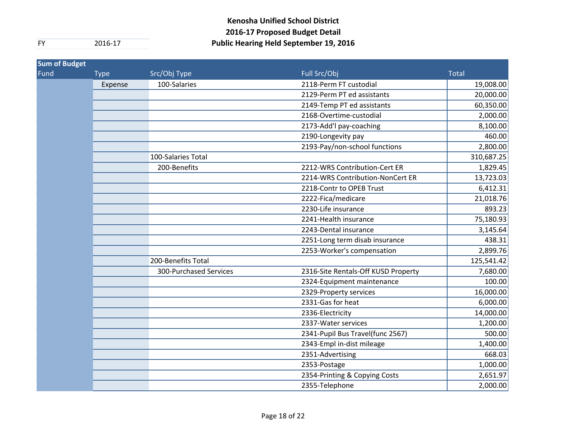| <b>Sum of Budget</b> |             |                               |                                     |              |
|----------------------|-------------|-------------------------------|-------------------------------------|--------------|
| Fund                 | <b>Type</b> | Src/Obj Type                  | Full Src/Obj                        | <b>Total</b> |
|                      | Expense     | 100-Salaries                  | 2118-Perm FT custodial              | 19,008.00    |
|                      |             |                               | 2129-Perm PT ed assistants          | 20,000.00    |
|                      |             |                               | 2149-Temp PT ed assistants          | 60,350.00    |
|                      |             |                               | 2168-Overtime-custodial             | 2,000.00     |
|                      |             |                               | 2173-Add'l pay-coaching             | 8,100.00     |
|                      |             |                               | 2190-Longevity pay                  | 460.00       |
|                      |             |                               | 2193-Pay/non-school functions       | 2,800.00     |
|                      |             | 100-Salaries Total            |                                     | 310,687.25   |
|                      |             | 200-Benefits                  | 2212-WRS Contribution-Cert ER       | 1,829.45     |
|                      |             |                               | 2214-WRS Contribution-NonCert ER    | 13,723.03    |
|                      |             |                               | 2218-Contr to OPEB Trust            | 6,412.31     |
|                      |             |                               | 2222-Fica/medicare                  | 21,018.76    |
|                      |             |                               | 2230-Life insurance                 | 893.23       |
|                      |             |                               | 2241-Health insurance               | 75,180.93    |
|                      |             |                               | 2243-Dental insurance               | 3,145.64     |
|                      |             |                               | 2251-Long term disab insurance      | 438.31       |
|                      |             |                               | 2253-Worker's compensation          | 2,899.76     |
|                      |             | 200-Benefits Total            |                                     | 125,541.42   |
|                      |             | <b>300-Purchased Services</b> | 2316-Site Rentals-Off KUSD Property | 7,680.00     |
|                      |             |                               | 2324-Equipment maintenance          | 100.00       |
|                      |             |                               | 2329-Property services              | 16,000.00    |
|                      |             |                               | 2331-Gas for heat                   | 6,000.00     |
|                      |             |                               | 2336-Electricity                    | 14,000.00    |
|                      |             |                               | 2337-Water services                 | 1,200.00     |
|                      |             |                               | 2341-Pupil Bus Travel(func 2567)    | 500.00       |
|                      |             |                               | 2343-Empl in-dist mileage           | 1,400.00     |
|                      |             |                               | 2351-Advertising                    | 668.03       |
|                      |             |                               | 2353-Postage                        | 1,000.00     |
|                      |             |                               | 2354-Printing & Copying Costs       | 2,651.97     |
|                      |             |                               | 2355-Telephone                      | 2,000.00     |
|                      |             |                               |                                     |              |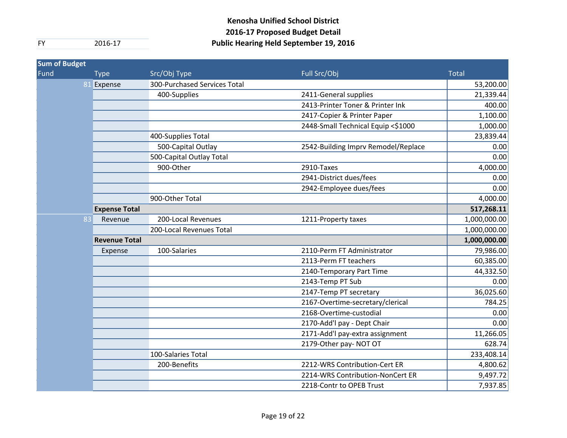| <b>Sum of Budget</b> |                      |                              |                                     |              |
|----------------------|----------------------|------------------------------|-------------------------------------|--------------|
| Fund                 | <b>Type</b>          | Src/Obj Type                 | Full Src/Obj                        | <b>Total</b> |
|                      | 81 Expense           | 300-Purchased Services Total |                                     | 53,200.00    |
|                      |                      | 400-Supplies                 | 2411-General supplies               | 21,339.44    |
|                      |                      |                              | 2413-Printer Toner & Printer Ink    | 400.00       |
|                      |                      |                              | 2417-Copier & Printer Paper         | 1,100.00     |
|                      |                      |                              | 2448-Small Technical Equip <\$1000  | 1,000.00     |
|                      |                      | 400-Supplies Total           |                                     | 23,839.44    |
|                      |                      | 500-Capital Outlay           | 2542-Building Imprv Remodel/Replace | 0.00         |
|                      |                      | 500-Capital Outlay Total     |                                     | 0.00         |
|                      |                      | 900-Other                    | 2910-Taxes                          | 4,000.00     |
|                      |                      |                              | 2941-District dues/fees             | 0.00         |
|                      |                      |                              | 2942-Employee dues/fees             | 0.00         |
|                      |                      | 900-Other Total              |                                     | 4,000.00     |
|                      | <b>Expense Total</b> |                              |                                     | 517,268.11   |
|                      | 83<br>Revenue        | 200-Local Revenues           | 1211-Property taxes                 | 1,000,000.00 |
|                      |                      | 200-Local Revenues Total     |                                     | 1,000,000.00 |
|                      | <b>Revenue Total</b> |                              |                                     | 1,000,000.00 |
|                      | Expense              | 100-Salaries                 | 2110-Perm FT Administrator          | 79,986.00    |
|                      |                      |                              | 2113-Perm FT teachers               | 60,385.00    |
|                      |                      |                              | 2140-Temporary Part Time            | 44,332.50    |
|                      |                      |                              | 2143-Temp PT Sub                    | 0.00         |
|                      |                      |                              | 2147-Temp PT secretary              | 36,025.60    |
|                      |                      |                              | 2167-Overtime-secretary/clerical    | 784.25       |
|                      |                      |                              | 2168-Overtime-custodial             | 0.00         |
|                      |                      |                              | 2170-Add'l pay - Dept Chair         | 0.00         |
|                      |                      |                              | 2171-Add'l pay-extra assignment     | 11,266.05    |
|                      |                      |                              | 2179-Other pay- NOT OT              | 628.74       |
|                      |                      | 100-Salaries Total           |                                     | 233,408.14   |
|                      |                      | 200-Benefits                 | 2212-WRS Contribution-Cert ER       | 4,800.62     |
|                      |                      |                              | 2214-WRS Contribution-NonCert ER    | 9,497.72     |
|                      |                      |                              | 2218-Contr to OPEB Trust            | 7,937.85     |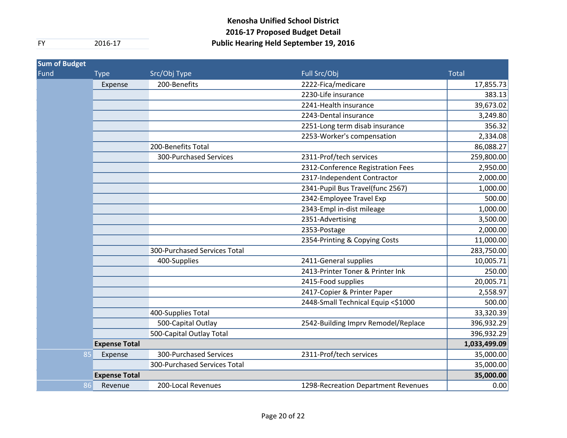| <b>Sum of Budget</b> |                      |                               |                                     |              |
|----------------------|----------------------|-------------------------------|-------------------------------------|--------------|
| Fund                 | <b>Type</b>          | Src/Obj Type                  | Full Src/Obj                        | <b>Total</b> |
|                      | Expense              | 200-Benefits                  | 2222-Fica/medicare                  | 17,855.73    |
|                      |                      |                               | 2230-Life insurance                 | 383.13       |
|                      |                      |                               | 2241-Health insurance               | 39,673.02    |
|                      |                      |                               | 2243-Dental insurance               | 3,249.80     |
|                      |                      |                               | 2251-Long term disab insurance      | 356.32       |
|                      |                      |                               | 2253-Worker's compensation          | 2,334.08     |
|                      |                      | 200-Benefits Total            |                                     | 86,088.27    |
|                      |                      | <b>300-Purchased Services</b> | 2311-Prof/tech services             | 259,800.00   |
|                      |                      |                               | 2312-Conference Registration Fees   | 2,950.00     |
|                      |                      |                               | 2317-Independent Contractor         | 2,000.00     |
|                      |                      |                               | 2341-Pupil Bus Travel(func 2567)    | 1,000.00     |
|                      |                      |                               | 2342-Employee Travel Exp            | 500.00       |
|                      |                      |                               | 2343-Empl in-dist mileage           | 1,000.00     |
|                      |                      |                               | 2351-Advertising                    | 3,500.00     |
|                      |                      |                               | 2353-Postage                        | 2,000.00     |
|                      |                      |                               | 2354-Printing & Copying Costs       | 11,000.00    |
|                      |                      | 300-Purchased Services Total  |                                     | 283,750.00   |
|                      |                      | 400-Supplies                  | 2411-General supplies               | 10,005.71    |
|                      |                      |                               | 2413-Printer Toner & Printer Ink    | 250.00       |
|                      |                      |                               | 2415-Food supplies                  | 20,005.71    |
|                      |                      |                               | 2417-Copier & Printer Paper         | 2,558.97     |
|                      |                      |                               | 2448-Small Technical Equip <\$1000  | 500.00       |
|                      |                      | 400-Supplies Total            |                                     | 33,320.39    |
|                      |                      | 500-Capital Outlay            | 2542-Building Imprv Remodel/Replace | 396,932.29   |
|                      |                      | 500-Capital Outlay Total      |                                     | 396,932.29   |
|                      | <b>Expense Total</b> |                               |                                     | 1,033,499.09 |
| 85                   | Expense              | 300-Purchased Services        | 2311-Prof/tech services             | 35,000.00    |
|                      |                      | 300-Purchased Services Total  |                                     | 35,000.00    |
|                      | <b>Expense Total</b> |                               |                                     | 35,000.00    |
| 86                   | Revenue              | 200-Local Revenues            | 1298-Recreation Department Revenues | 0.00         |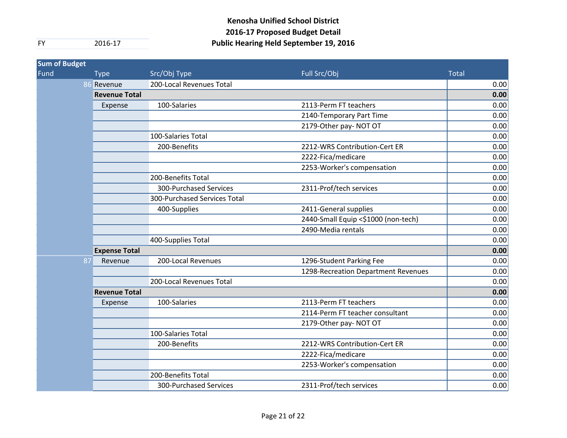| <b>Sum of Budget</b> |                      |                               |                                     |              |
|----------------------|----------------------|-------------------------------|-------------------------------------|--------------|
| Fund                 | <b>Type</b>          | Src/Obj Type                  | Full Src/Obj                        | <b>Total</b> |
|                      | 86 Revenue           | 200-Local Revenues Total      |                                     | 0.00         |
|                      | <b>Revenue Total</b> |                               |                                     | 0.00         |
|                      | Expense              | 100-Salaries                  | 2113-Perm FT teachers               | 0.00         |
|                      |                      |                               | 2140-Temporary Part Time            | 0.00         |
|                      |                      |                               | 2179-Other pay- NOT OT              | 0.00         |
|                      |                      | 100-Salaries Total            |                                     | 0.00         |
|                      |                      | 200-Benefits                  | 2212-WRS Contribution-Cert ER       | 0.00         |
|                      |                      |                               | 2222-Fica/medicare                  | 0.00         |
|                      |                      |                               | 2253-Worker's compensation          | 0.00         |
|                      |                      | 200-Benefits Total            |                                     | 0.00         |
|                      |                      | <b>300-Purchased Services</b> | 2311-Prof/tech services             | 0.00         |
|                      |                      | 300-Purchased Services Total  |                                     | 0.00         |
|                      |                      | 400-Supplies                  | 2411-General supplies               | 0.00         |
|                      |                      |                               | 2440-Small Equip <\$1000 (non-tech) | 0.00         |
|                      |                      |                               | 2490-Media rentals                  | 0.00         |
|                      |                      | 400-Supplies Total            |                                     | 0.00         |
|                      | <b>Expense Total</b> |                               |                                     | 0.00         |
|                      | 87<br>Revenue        | 200-Local Revenues            | 1296-Student Parking Fee            | 0.00         |
|                      |                      |                               | 1298-Recreation Department Revenues | 0.00         |
|                      |                      | 200-Local Revenues Total      |                                     | 0.00         |
|                      | <b>Revenue Total</b> |                               |                                     | 0.00         |
|                      | Expense              | 100-Salaries                  | 2113-Perm FT teachers               | 0.00         |
|                      |                      |                               | 2114-Perm FT teacher consultant     | 0.00         |
|                      |                      |                               | 2179-Other pay- NOT OT              | 0.00         |
|                      |                      | 100-Salaries Total            |                                     | 0.00         |
|                      |                      | 200-Benefits                  | 2212-WRS Contribution-Cert ER       | 0.00         |
|                      |                      |                               | 2222-Fica/medicare                  | 0.00         |
|                      |                      |                               | 2253-Worker's compensation          | 0.00         |
|                      |                      | 200-Benefits Total            |                                     | 0.00         |
|                      |                      | <b>300-Purchased Services</b> | 2311-Prof/tech services             | 0.00         |